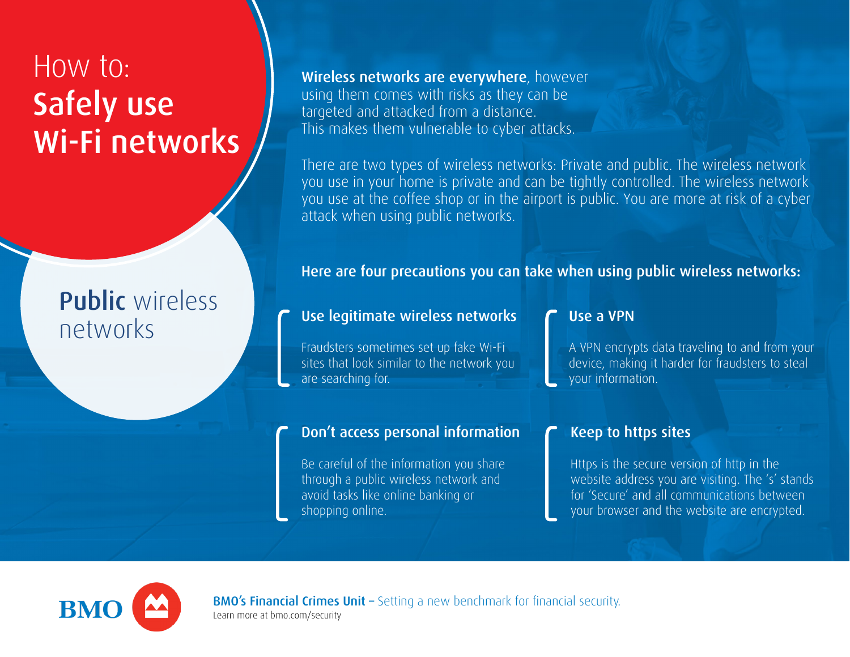# How to: Safely use Wi-Fi networks

## Public wireless networks

Wireless networks are everywhere, however using them comes with risks as they can be targeted and attacked from a distance. This makes them vulnerable to cyber attacks.

There are two types of wireless networks: Private and public. The wireless network you use in your home is private and can be tightly controlled. The wireless network you use at the coffee shop or in the airport is public. You are more at risk of a cyber attack when using public networks.

Here are four precautions you can take when using public wireless networks:

## Use legitimate wireless networks

Fraudsters sometimes set up fake Wi-Fi sites that look similar to the network you are searching for.

## Don't access personal information

Be careful of the information you share through a public wireless network and avoid tasks like online banking or shopping online.

#### Use a VPN

A VPN encrypts data traveling to and from your device, making it harder for fraudsters to steal your information.

## Keep to https sites

Https is the secure version of http in the website address you are visiting. The 's' stands for 'Secure' and all communications between your browser and the website are encrypted.